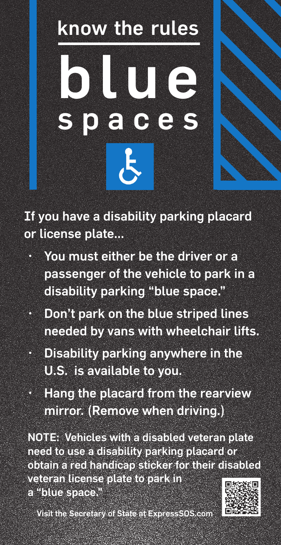## know the rules blue spaces

If you have a disability parking placard or license plate...

- You must either be the driver or a passenger of the vehicle to park in a disability parking "blue space."
- • Don't park on the blue striped lines needed by vans with wheelchair lifts.
- $\cdot$  Disability parking anywhere in the U.S. is available to you.
- • Hang the placard from the rearview mirror. (Remove when driving.)

NOTE: Vehicles with a disabled veteran plate need to use a disability parking placard or obtain a red handicap sticker for their disabled veteran license plate to park in a "blue space."

Visit the Secretary of State at ExpressSOS.com